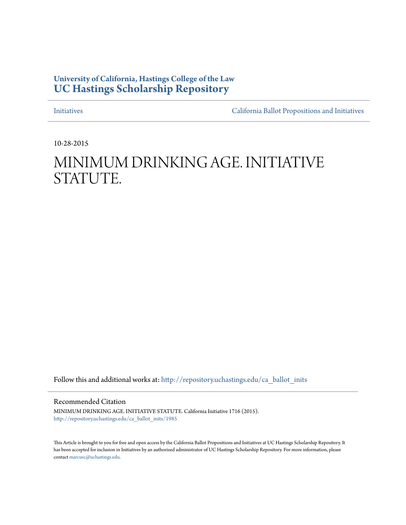## **University of California, Hastings College of the Law [UC Hastings Scholarship Repository](http://repository.uchastings.edu?utm_source=repository.uchastings.edu%2Fca_ballot_inits%2F1985&utm_medium=PDF&utm_campaign=PDFCoverPages)**

[Initiatives](http://repository.uchastings.edu/ca_ballot_inits?utm_source=repository.uchastings.edu%2Fca_ballot_inits%2F1985&utm_medium=PDF&utm_campaign=PDFCoverPages) [California Ballot Propositions and Initiatives](http://repository.uchastings.edu/ca_ballots?utm_source=repository.uchastings.edu%2Fca_ballot_inits%2F1985&utm_medium=PDF&utm_campaign=PDFCoverPages)

10-28-2015

## MINIMUM DRINKING AGE. INITIATIVE STATUTE.

Follow this and additional works at: [http://repository.uchastings.edu/ca\\_ballot\\_inits](http://repository.uchastings.edu/ca_ballot_inits?utm_source=repository.uchastings.edu%2Fca_ballot_inits%2F1985&utm_medium=PDF&utm_campaign=PDFCoverPages)

Recommended Citation

MINIMUM DRINKING AGE. INITIATIVE STATUTE. California Initiative 1716 (2015). [http://repository.uchastings.edu/ca\\_ballot\\_inits/1985](http://repository.uchastings.edu/ca_ballot_inits/1985?utm_source=repository.uchastings.edu%2Fca_ballot_inits%2F1985&utm_medium=PDF&utm_campaign=PDFCoverPages)

This Article is brought to you for free and open access by the California Ballot Propositions and Initiatives at UC Hastings Scholarship Repository. It has been accepted for inclusion in Initiatives by an authorized administrator of UC Hastings Scholarship Repository. For more information, please contact [marcusc@uchastings.edu](mailto:marcusc@uchastings.edu).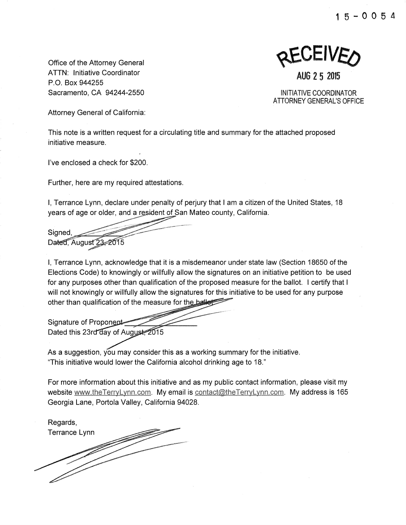**1** 5 - **0 0** 5 4

Office of the Attorney General ATTN: Initiative Coordinator P.O. Box 944255 Sacramento, CA 94244-2550

KEAFIAEO

**AUG 2 5 2015** 

INITIATIVE COORDINATOR ATTORNEY GENERAL'S OFFICE

Attorney General of California:

This note is a written request for a circulating title and summary for the attached proposed initiative measure.

I've enclosed a check for \$200.

Further, here are my required attestations.

I, Terrance Lynn, declare under penalty of perjury that I am a citizen of the United States, 18 years of age or older, and a resident of San Mateo county, California.

Sianed. Dated. August 23-2015

I, Terrance Lynn, acknowledge that it is a misdemeanor under state law (Section 18650 of the Elections Code) to knowingly or willfully allow the signatures on an initiative petition to be used for any purposes other than qualification of the proposed measure for the ballot. I certify that I will not knowingly or willfully allow the signatures for this initiative to be used for any purpose other than qualification of the measure for the ballet

Signature of Proponent Dated this 23rd day of August, 2015

As a suggestion, you may consider this as a working summary for the initiative. "This initiative would lower the California alcohol drinking age to 18."

For more information about this initiative and as my public contact information, please visit my website www.theTerryLynn.com. My email is contact@theTerryLynn.com. My address is 165 Georgia Lane, Portola Valley, California 94028.

Regards, Terrance Lynn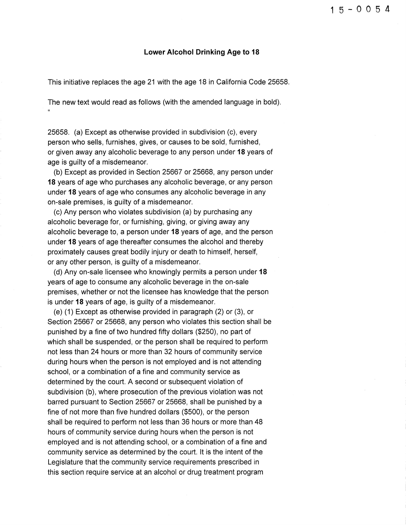## **Lower Alcohol Drinking Age to 18**

This initiative replaces the age 21 with the age 18 in California Code 25658.

The new text would read as follows (with the amended language in bold). "

25658. (a) Except as otherwise provided in subdivision (c), every person who sells, furnishes, gives, or causes to be sold, furnished, or given away any alcoholic beverage to any person under **18** years of age is guilty of a misdemeanor.

(b) Except as provided in Section 25667 or 25668, any person under **18** years of age who purchases any alcoholic beverage, or any person under **18** years of age who consumes any alcoholic beverage in any on-sale premises, is guilty of a misdemeanor.

(c) Any person who violates subdivision (a) by purchasing any alcoholic beverage for, or furnishing, giving, or giving away any alcoholic beverage to, a person under **18** years of age, and the person under **18** years of age thereafter consumes the alcohol and thereby proximately causes great bodily injury or death to himself, herself, or any other person, is guilty of a misdemeanor.

(d) Any on-sale licensee who knowingly permits a person under **18**  years of age to consume any alcoholic beverage in the on-sale premises, whether or not the licensee has knowledge that the person is under **18** years of age, is guilty of a misdemeanor.

(e) (1) Except as otherwise provided in paragraph (2) or (3), or Section 25667 or 25668, any person who violates this section shall be punished by a fine of two hundred fifty dollars (\$250), no part of which shall be suspended, or the person shall be required to perform not less than 24 hours or more than 32 hours of community service during hours when the person is not employed and is not attending school, or a combination of a fine and community service as determined by the court. A second or subsequent violation of subdivision (b), where prosecution of the previous violation was not barred pursuant to Section 25667 or 25668, shall be punished by a fine of not more than five hundred dollars (\$500), or the person shall be required to perform not less than 36 hours or more than 48 hours of community service during hours when the person is not employed and is not attending school, or a combination of a fine and community service as determined by the court. It is the intent of the Legislature that the community service requirements prescribed in this section require service at an alcohol or drug treatment program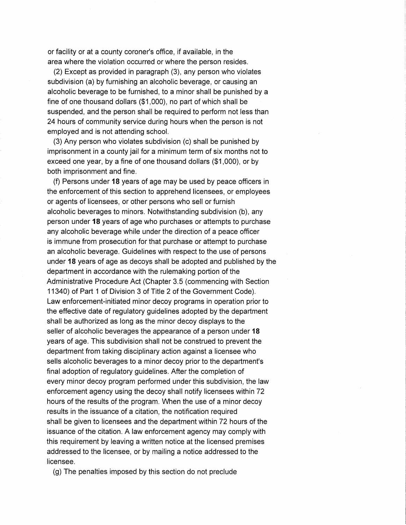or facility or at a county coroner's office, if available, in the area where the violation occurred or where the person resides.

(2) Except as provided in paragraph (3), any person who violates subdivision (a) by furnishing an alcoholic beverage, or causing an alcoholic beverage to be furnished, to a minor shall be punished by a fine of one thousand dollars (\$1 ,000), no part of which shall be suspended, and the person shall be required to perform not less than 24 hours of community service during hours when the person is not employed and is not attending school.

(3) Any person who violates subdivision (c) shall be punished by imprisonment in a county jail for a minimum term of six months not to exceed one year, by a fine of one thousand dollars (\$1 ,000), or by both imprisonment and fine.

(f) Persons under 18 years of age may be used by peace officers in the enforcement of this section to apprehend licensees, or employees or agents of licensees, or other persons who sell or furnish alcoholic beverages to minors. Notwithstanding subdivision (b), any person under 18 years of age who purchases or attempts to purchase any alcoholic beverage while under the direction of a peace officer is immune from prosecution for that purchase or attempt to purchase an alcoholic beverage. Guidelines with respect to the use of persons under 18 years of age as decoys shall be adopted and published by the department in accordance with the rulemaking portion of the Administrative Procedure Act (Chapter 3.5 (commencing with Section 11340) of Part 1 of Division 3 of Title 2 of the Government Code). Law enforcement-initiated minor decoy programs in operation prior to the effective date of regulatory guidelines adopted by the department shall be authorized as long as the minor decoy displays to the seller of alcoholic beverages the appearance of a person under 18 years of age. This subdivision shall not be construed to prevent the department from taking disciplinary action against a licensee who sells alcoholic beverages to a minor decoy prior to the department's final adoption of regulatory guidelines. After the completion of every minor decoy program performed under this subdivision, the law enforcement agency using the decoy shall notify licensees within 72 hours of the results of the program. When the use of a minor decoy results in the issuance of a citation, the notification required shall be given to licensees and the department within 72 hours of the issuance of the citation. A law enforcement agency may comply with this requirement by leaving a written notice at the licensed premises addressed to the licensee, or by mailing a notice addressed to the licensee.

(g) The penalties imposed by this section do not preclude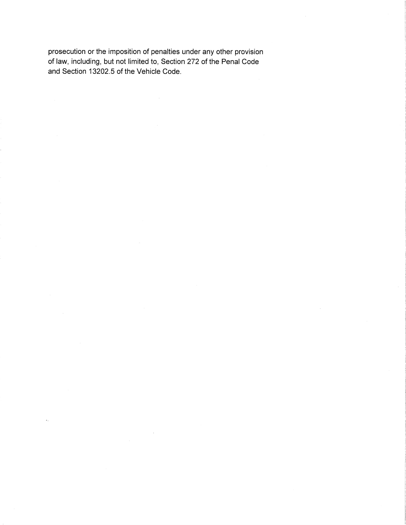prosecution or the imposition of penalties under any other provision of law, including, but not limited to, Section 272 of the Penal Code and Section 13202.5 of the Vehicle Code.

 $\sim$   $\sim$